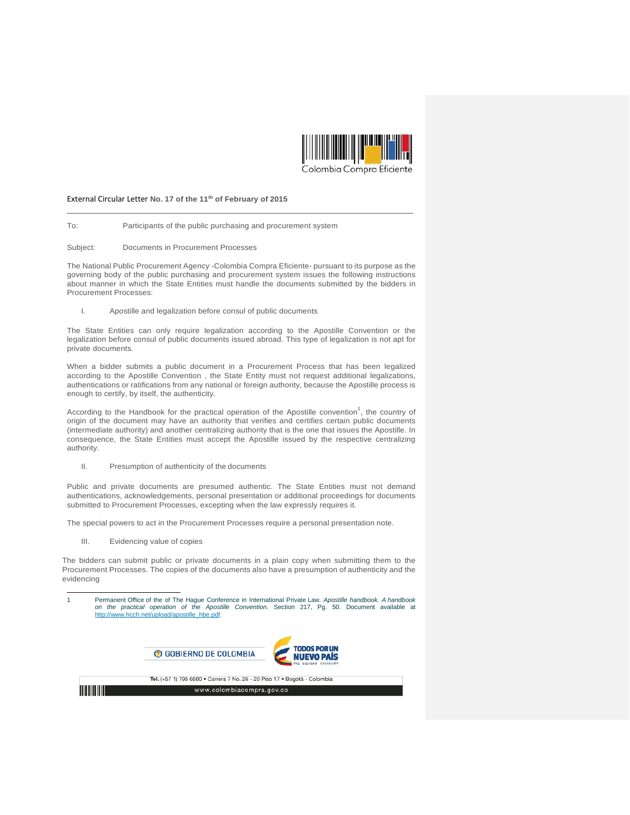

## External Circular Letter **No. 17 of the 11th of February of 2015**

To: Participants of the public purchasing and procurement system

Subject: Documents in Procurement Processes

The National Public Procurement Agency -Colombia Compra Eficiente- pursuant to its purpose as the governing body of the public purchasing and procurement system issues the following instructions about manner in which the State Entities must handle the documents submitted by the bidders in Procurement Processes:

I. Apostille and legalization before consul of public documents

The State Entities can only require legalization according to the Apostille Convention or the legalization before consul of public documents issued abroad. This type of legalization is not apt for private documents.

When a bidder submits a public document in a Procurement Process that has been legalized according to the Apostille Convention , the State Entity must not request additional legalizations, authentications or ratifications from any national or foreign authority, because the Apostille process is enough to certify, by itself, the authenticity.

According to the Handbook for the practical operation of the Apostille convention<sup>1</sup>, the country of origin of the document may have an authority that verifies and certifies certain public documents (intermediate authority) and another centralizing authority that is the one that issues the Apostille. In consequence, the State Entities must accept the Apostille issued by the respective centralizing authority.

II. Presumption of authenticity of the documents

Public and private documents are presumed authentic. The State Entities must not demand authentications, acknowledgements, personal presentation or additional proceedings for documents submitted to Procurement Processes, excepting when the law expressly requires it.

The special powers to act in the Procurement Processes require a personal presentation note.

III. Evidencing value of copies

The bidders can submit public or private documents in a plain copy when submitting them to the Procurement Processes. The copies of the documents also have a presumption of authenticity and the evidencing